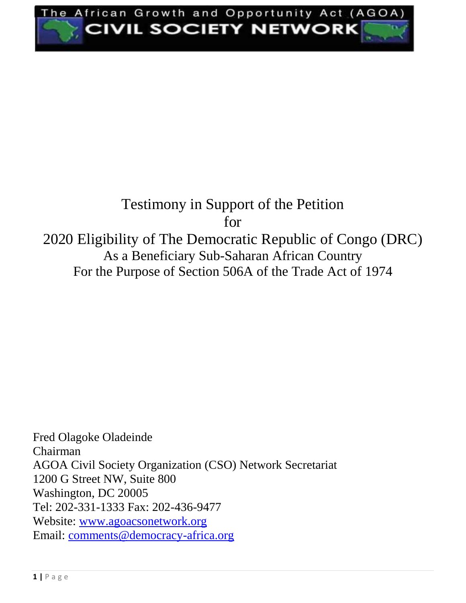## Testimony in Support of the Petition for 2020 Eligibility of The Democratic Republic of Congo (DRC) As a Beneficiary Sub-Saharan African Country For the Purpose of Section 506A of the Trade Act of 1974

Fred Olagoke Oladeinde Chairman AGOA Civil Society Organization (CSO) Network Secretariat 1200 G Street NW, Suite 800 Washington, DC 20005 Tel: 202-331-1333 Fax: 202-436-9477 Website: [www.agoacsonetwork.org](http://www.agoacsonetwork.org/) Email: [comments@democracy-africa.org](mailto:comments@democracy-africa.org)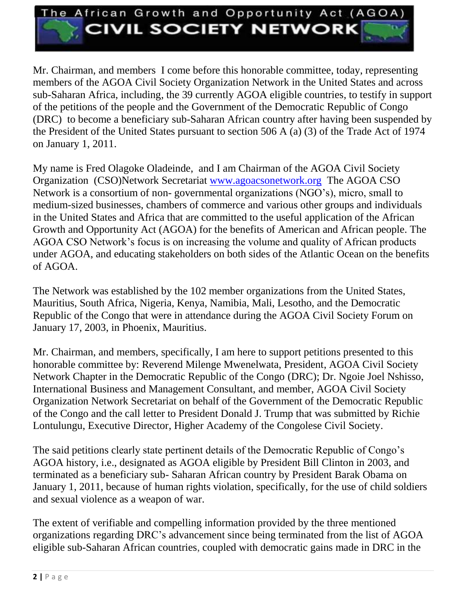## The African Growth and Opportunity Act (AGOA **CIVIL SOCIETY NETWORK**

Mr. Chairman, and members I come before this honorable committee, today, representing members of the AGOA Civil Society Organization Network in the United States and across sub-Saharan Africa, including, the 39 currently AGOA eligible countries, to testify in support of the petitions of the people and the Government of the Democratic Republic of Congo (DRC) to become a beneficiary sub-Saharan African country after having been suspended by the President of the United States pursuant to section 506 A (a) (3) of the Trade Act of 1974 on January 1, 2011.

My name is Fred Olagoke Oladeinde, and I am Chairman of the AGOA Civil Society Organization (CSO)Network Secretariat [www.agoacsonetwork.org](http://www.agoacsonetwork.org/) The AGOA CSO Network is a consortium of non- governmental organizations (NGO's), micro, small to medium-sized businesses, chambers of commerce and various other groups and individuals in the United States and Africa that are committed to the useful application of the African Growth and Opportunity Act (AGOA) for the benefits of American and African people. The AGOA CSO Network's focus is on increasing the volume and quality of African products under AGOA, and educating stakeholders on both sides of the Atlantic Ocean on the benefits of AGOA.

The Network was established by the 102 member organizations from the United States, Mauritius, South Africa, Nigeria, Kenya, Namibia, Mali, Lesotho, and the Democratic Republic of the Congo that were in attendance during the AGOA Civil Society Forum on January 17, 2003, in Phoenix, Mauritius.

Mr. Chairman, and members, specifically, I am here to support petitions presented to this honorable committee by: Reverend Milenge Mwenelwata, President, AGOA Civil Society Network Chapter in the Democratic Republic of the Congo (DRC); Dr. Ngoie Joel Nshisso, International Business and Management Consultant, and member, AGOA Civil Society Organization Network Secretariat on behalf of the Government of the Democratic Republic of the Congo and the call letter to President Donald J. Trump that was submitted by Richie Lontulungu, Executive Director, Higher Academy of the Congolese Civil Society.

The said petitions clearly state pertinent details of the Democratic Republic of Congo's AGOA history, i.e., designated as AGOA eligible by President Bill Clinton in 2003, and terminated as a beneficiary sub- Saharan African country by President Barak Obama on January 1, 2011, because of human rights violation, specifically, for the use of child soldiers and sexual violence as a weapon of war.

The extent of verifiable and compelling information provided by the three mentioned organizations regarding DRC's advancement since being terminated from the list of AGOA eligible sub-Saharan African countries, coupled with democratic gains made in DRC in the